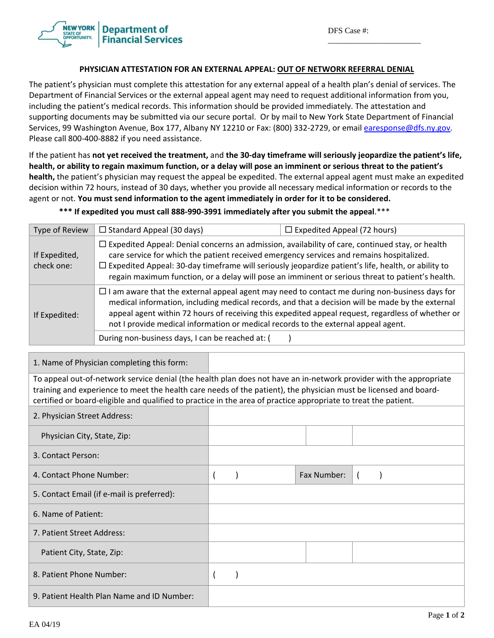\_\_\_\_\_\_\_\_\_\_\_\_\_\_\_\_\_\_\_\_\_\_\_



## **PHYSICIAN ATTESTATION FOR AN EXTERNAL APPEAL: OUT OF NETWORK REFERRAL DENIAL**

The patient's physician must complete this attestation for any external appeal of a health plan's denial of services. The Department of Financial Services or the external appeal agent may need to request additional information from you, including the patient's medical records. This information should be provided immediately. The attestation and supporting documents may be submitted via our secure portal. Or by mail to New York State Department of Financial Services, 99 Washington Avenue, Box 177, Albany NY 12210 or Fax: (800) 332-2729, or email earesponse@dfs.ny.gov. Please call 800‐400‐8882 if you need assistance.

If the patient has not yet received the treatment, and the 30-day timeframe will seriously jeopardize the patient's life, health, or ability to regain maximum function, or a delay will pose an imminent or serious threat to the patient's **health,** the patient's physician may request the appeal be expedited. The external appeal agent must make an expedited decision within 72 hours, instead of 30 days, whether you provide all necessary medical information or records to the agent or not. **You must send information to the agent immediately in order for it to be considered.** 

\*\*\* If expedited you must call 888-990-3991 immediately after you submit the appeal.\*\*\*

| Type of Review              | $\Box$ Standard Appeal (30 days)                                                                                                                                                                                                                                                                                                                                                                                    | $\Box$ Expedited Appeal (72 hours)                                                                                                                                                                    |  |  |  |  |
|-----------------------------|---------------------------------------------------------------------------------------------------------------------------------------------------------------------------------------------------------------------------------------------------------------------------------------------------------------------------------------------------------------------------------------------------------------------|-------------------------------------------------------------------------------------------------------------------------------------------------------------------------------------------------------|--|--|--|--|
| If Expedited,<br>check one: | $\Box$ Expedited Appeal: Denial concerns an admission, availability of care, continued stay, or health<br>care service for which the patient received emergency services and remains hospitalized.<br>$\Box$ Expedited Appeal: 30-day timeframe will seriously jeopardize patient's life, health, or ability to<br>regain maximum function, or a delay will pose an imminent or serious threat to patient's health. |                                                                                                                                                                                                       |  |  |  |  |
| If Expedited:               | $\Box$ I am aware that the external appeal agent may need to contact me during non-business days for<br>not I provide medical information or medical records to the external appeal agent.                                                                                                                                                                                                                          | medical information, including medical records, and that a decision will be made by the external<br>appeal agent within 72 hours of receiving this expedited appeal request, regardless of whether or |  |  |  |  |
|                             | During non-business days, I can be reached at: (                                                                                                                                                                                                                                                                                                                                                                    |                                                                                                                                                                                                       |  |  |  |  |

1. Name of Physician completing this form:

To appeal out‐of‐network service denial (the health plan does not have an in‐network provider with the appropriate training and experience to meet the health care needs of the patient), the physician must be licensed and board‐ certified or board‐eligible and qualified to practice in the area of practice appropriate to treat the patient.

| 2. Physician Street Address:               |  |             |  |
|--------------------------------------------|--|-------------|--|
| Physician City, State, Zip:                |  |             |  |
| 3. Contact Person:                         |  |             |  |
| 4. Contact Phone Number:                   |  | Fax Number: |  |
| 5. Contact Email (if e-mail is preferred): |  |             |  |
| 6. Name of Patient:                        |  |             |  |
| 7. Patient Street Address:                 |  |             |  |
| Patient City, State, Zip:                  |  |             |  |
| 8. Patient Phone Number:                   |  |             |  |
| 9. Patient Health Plan Name and ID Number: |  |             |  |